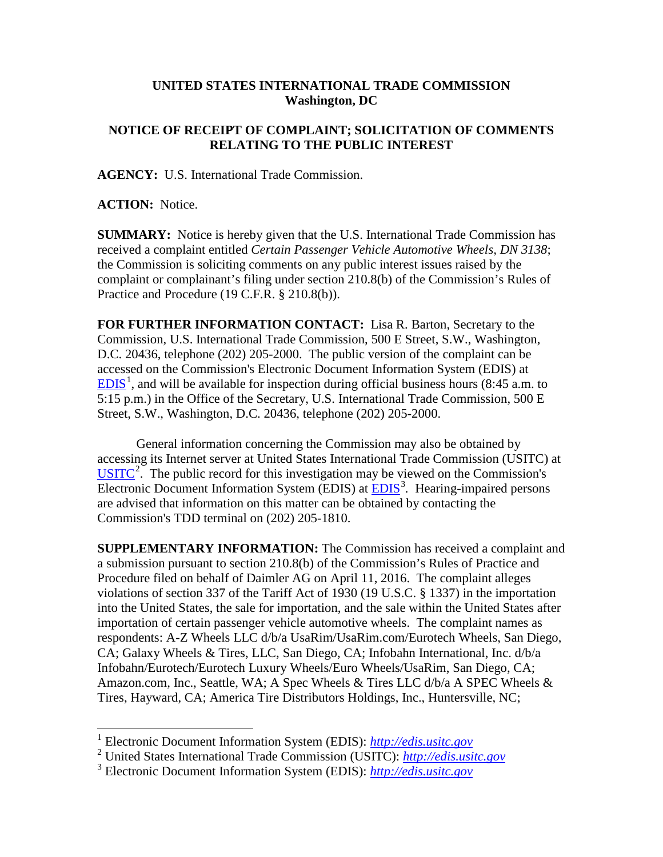## **UNITED STATES INTERNATIONAL TRADE COMMISSION Washington, DC**

## **NOTICE OF RECEIPT OF COMPLAINT; SOLICITATION OF COMMENTS RELATING TO THE PUBLIC INTEREST**

**AGENCY:** U.S. International Trade Commission.

**ACTION:** Notice.

**SUMMARY:** Notice is hereby given that the U.S. International Trade Commission has received a complaint entitled *Certain Passenger Vehicle Automotive Wheels, DN 3138*; the Commission is soliciting comments on any public interest issues raised by the complaint or complainant's filing under section 210.8(b) of the Commission's Rules of Practice and Procedure (19 C.F.R. § 210.8(b)).

**FOR FURTHER INFORMATION CONTACT:** Lisa R. Barton, Secretary to the Commission, U.S. International Trade Commission, 500 E Street, S.W., Washington, D.C. 20436, telephone (202) 205-2000. The public version of the complaint can be accessed on the Commission's Electronic Document Information System (EDIS) at  $EDIS<sup>1</sup>$  $EDIS<sup>1</sup>$  $EDIS<sup>1</sup>$  $EDIS<sup>1</sup>$ , and will be available for inspection during official business hours (8:45 a.m. to 5:15 p.m.) in the Office of the Secretary, U.S. International Trade Commission, 500 E Street, S.W., Washington, D.C. 20436, telephone (202) 205-2000.

General information concerning the Commission may also be obtained by accessing its Internet server at United States International Trade Commission (USITC) at  $\overline{USTTC}^2$  $\overline{USTTC}^2$ . The public record for this investigation may be viewed on the Commission's Electronic Document Information System (EDIS) at **EDIS**<sup>[3](#page-0-2)</sup>. Hearing-impaired persons are advised that information on this matter can be obtained by contacting the Commission's TDD terminal on (202) 205-1810.

**SUPPLEMENTARY INFORMATION:** The Commission has received a complaint and a submission pursuant to section 210.8(b) of the Commission's Rules of Practice and Procedure filed on behalf of Daimler AG on April 11, 2016. The complaint alleges violations of section 337 of the Tariff Act of 1930 (19 U.S.C. § 1337) in the importation into the United States, the sale for importation, and the sale within the United States after importation of certain passenger vehicle automotive wheels. The complaint names as respondents: A-Z Wheels LLC d/b/a UsaRim/UsaRim.com/Eurotech Wheels, San Diego, CA; Galaxy Wheels & Tires, LLC, San Diego, CA; Infobahn International, Inc. d/b/a Infobahn/Eurotech/Eurotech Luxury Wheels/Euro Wheels/UsaRim, San Diego, CA; Amazon.com, Inc., Seattle, WA; A Spec Wheels & Tires LLC d/b/a A SPEC Wheels & Tires, Hayward, CA; America Tire Distributors Holdings, Inc., Huntersville, NC;

<span id="page-0-0"></span> <sup>1</sup> Electronic Document Information System (EDIS): *[http://edis.usitc.gov](http://edis.usitc.gov/)*

<span id="page-0-1"></span><sup>2</sup> United States International Trade Commission (USITC): *[http://edis.usitc.gov](http://edis.usitc.gov/)*

<span id="page-0-2"></span><sup>3</sup> Electronic Document Information System (EDIS): *[http://edis.usitc.gov](http://edis.usitc.gov/)*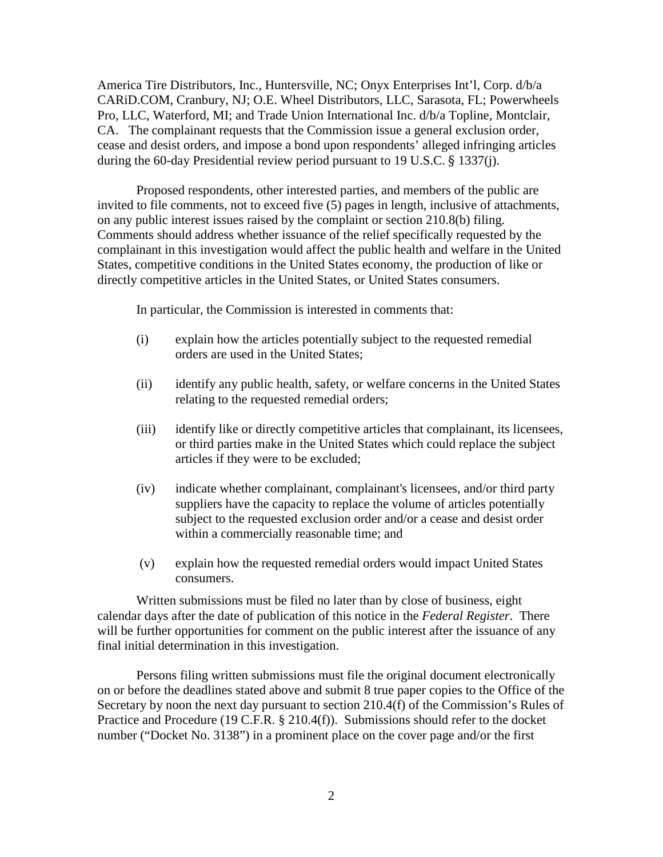America Tire Distributors, Inc., Huntersville, NC; Onyx Enterprises Int'l, Corp. d/b/a CARiD.COM, Cranbury, NJ; O.E. Wheel Distributors, LLC, Sarasota, FL; Powerwheels Pro, LLC, Waterford, MI; and Trade Union International Inc. d/b/a Topline, Montclair, CA. The complainant requests that the Commission issue a general exclusion order, cease and desist orders, and impose a bond upon respondents' alleged infringing articles during the 60-day Presidential review period pursuant to 19 U.S.C. § 1337(j).

Proposed respondents, other interested parties, and members of the public are invited to file comments, not to exceed five (5) pages in length, inclusive of attachments, on any public interest issues raised by the complaint or section 210.8(b) filing. Comments should address whether issuance of the relief specifically requested by the complainant in this investigation would affect the public health and welfare in the United States, competitive conditions in the United States economy, the production of like or directly competitive articles in the United States, or United States consumers.

In particular, the Commission is interested in comments that:

- (i) explain how the articles potentially subject to the requested remedial orders are used in the United States;
- (ii) identify any public health, safety, or welfare concerns in the United States relating to the requested remedial orders;
- (iii) identify like or directly competitive articles that complainant, its licensees, or third parties make in the United States which could replace the subject articles if they were to be excluded;
- (iv) indicate whether complainant, complainant's licensees, and/or third party suppliers have the capacity to replace the volume of articles potentially subject to the requested exclusion order and/or a cease and desist order within a commercially reasonable time; and
- (v) explain how the requested remedial orders would impact United States consumers.

Written submissions must be filed no later than by close of business, eight calendar days after the date of publication of this notice in the *Federal Register*. There will be further opportunities for comment on the public interest after the issuance of any final initial determination in this investigation.

Persons filing written submissions must file the original document electronically on or before the deadlines stated above and submit 8 true paper copies to the Office of the Secretary by noon the next day pursuant to section 210.4(f) of the Commission's Rules of Practice and Procedure (19 C.F.R. § 210.4(f)). Submissions should refer to the docket number ("Docket No. 3138") in a prominent place on the cover page and/or the first